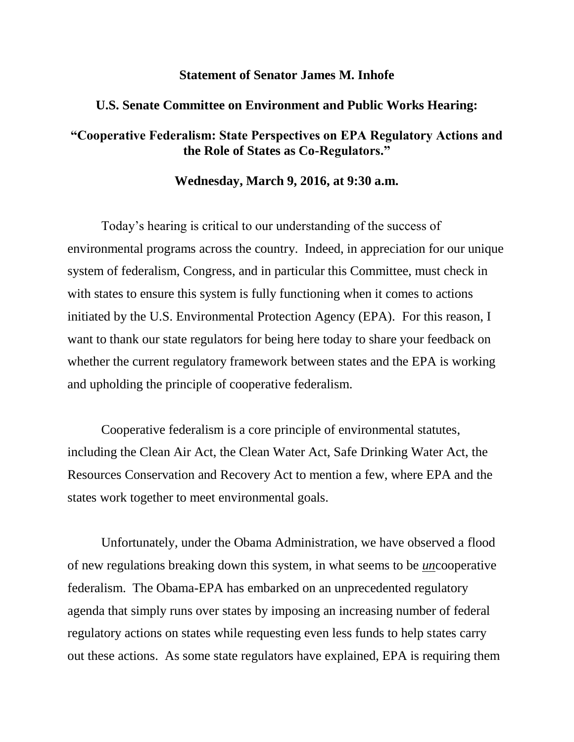## **Statement of Senator James M. Inhofe**

## **U.S. Senate Committee on Environment and Public Works Hearing:**

## **"Cooperative Federalism: State Perspectives on EPA Regulatory Actions and the Role of States as Co-Regulators."**

## **Wednesday, March 9, 2016, at 9:30 a.m.**

Today's hearing is critical to our understanding of the success of environmental programs across the country. Indeed, in appreciation for our unique system of federalism, Congress, and in particular this Committee, must check in with states to ensure this system is fully functioning when it comes to actions initiated by the U.S. Environmental Protection Agency (EPA). For this reason, I want to thank our state regulators for being here today to share your feedback on whether the current regulatory framework between states and the EPA is working and upholding the principle of cooperative federalism.

Cooperative federalism is a core principle of environmental statutes, including the Clean Air Act, the Clean Water Act, Safe Drinking Water Act, the Resources Conservation and Recovery Act to mention a few, where EPA and the states work together to meet environmental goals.

Unfortunately, under the Obama Administration, we have observed a flood of new regulations breaking down this system, in what seems to be *un*cooperative federalism. The Obama-EPA has embarked on an unprecedented regulatory agenda that simply runs over states by imposing an increasing number of federal regulatory actions on states while requesting even less funds to help states carry out these actions. As some state regulators have explained, EPA is requiring them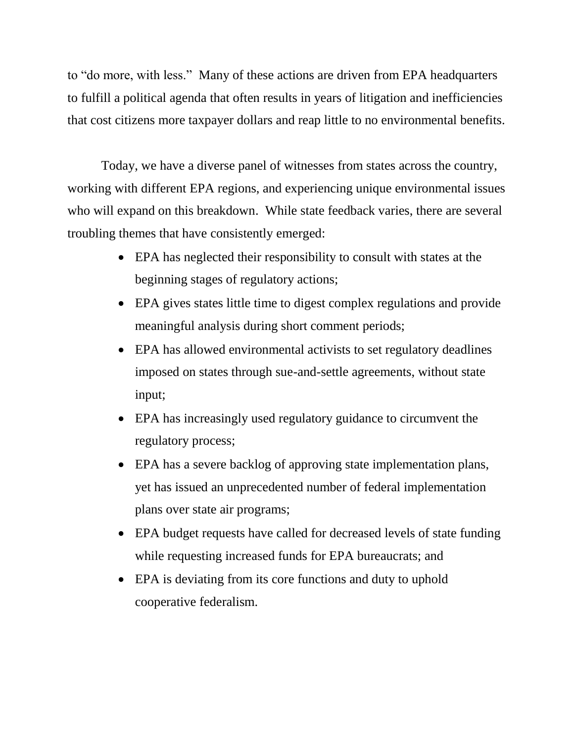to "do more, with less." Many of these actions are driven from EPA headquarters to fulfill a political agenda that often results in years of litigation and inefficiencies that cost citizens more taxpayer dollars and reap little to no environmental benefits.

Today, we have a diverse panel of witnesses from states across the country, working with different EPA regions, and experiencing unique environmental issues who will expand on this breakdown. While state feedback varies, there are several troubling themes that have consistently emerged:

- EPA has neglected their responsibility to consult with states at the beginning stages of regulatory actions;
- EPA gives states little time to digest complex regulations and provide meaningful analysis during short comment periods;
- EPA has allowed environmental activists to set regulatory deadlines imposed on states through sue-and-settle agreements, without state input;
- EPA has increasingly used regulatory guidance to circumvent the regulatory process;
- EPA has a severe backlog of approving state implementation plans, yet has issued an unprecedented number of federal implementation plans over state air programs;
- EPA budget requests have called for decreased levels of state funding while requesting increased funds for EPA bureaucrats; and
- EPA is deviating from its core functions and duty to uphold cooperative federalism.